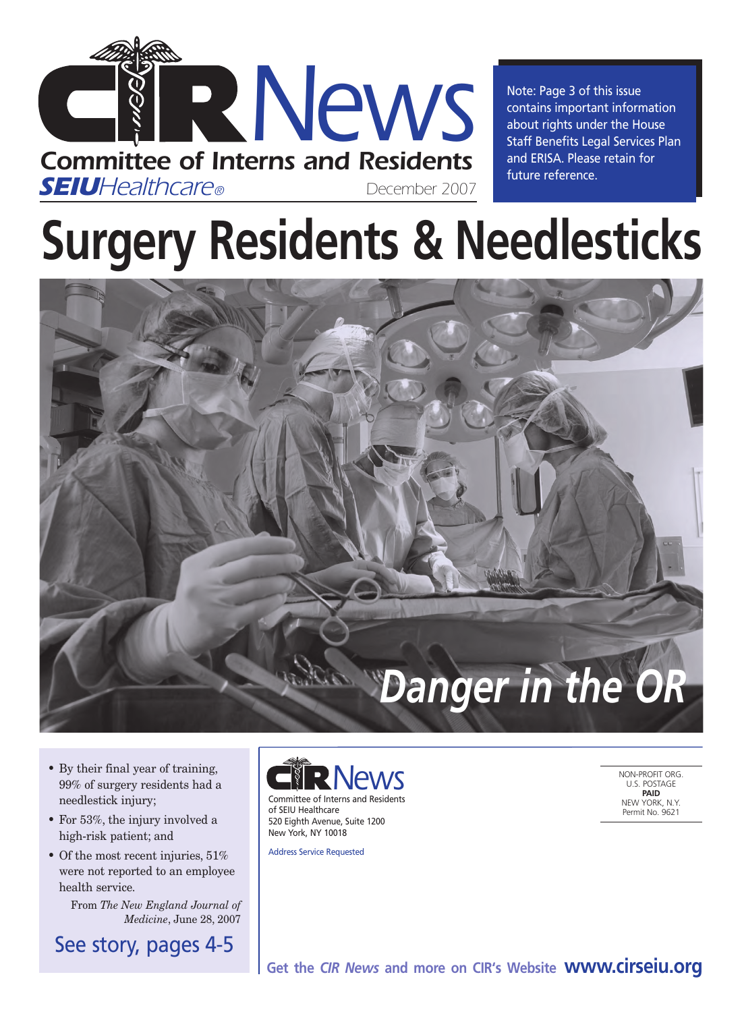

Note: Page 3 of this issue contains important information about rights under the House Staff Benefits Legal Services Plan and ERISA. Please retain for future reference.

# **Surgery Residents & Needlesticks**



- By their final year of training, 99% of surgery residents had a needlestick injury;
- For 53%, the injury involved a high-risk patient; and
- Of the most recent injuries, 51% were not reported to an employee health service.

From *The New England Journal of Medicine*, June 28, 2007

See story, pages 4-5



of SEIU Healthcare 520 Eighth Avenue, Suite 1200 New York, NY 10018

Address Service Requested

NON-PROFIT ORG. U.S. POSTAGE **PAID** NEW YORK, N.Y. Permit No. 9621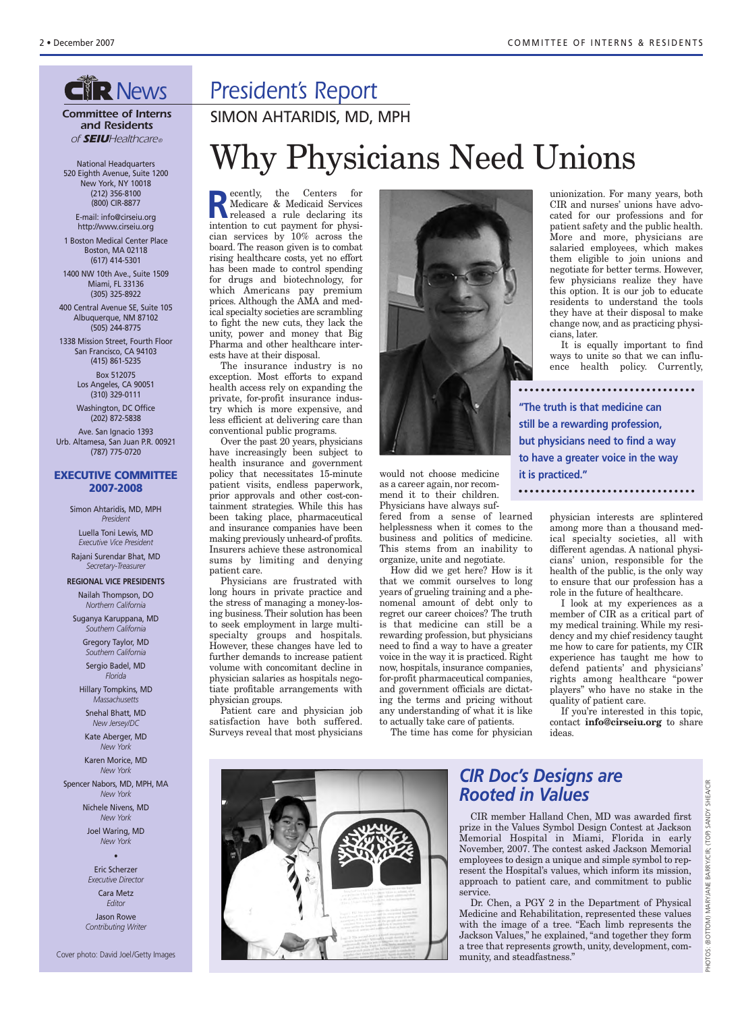## **GIR News**

*Committee of Interns and Residents of SEIUHealthcare®*

National Headquarters 520 Eighth Avenue, Suite 1200 New York, NY 10018 (212) 356-8100 (800) CIR-8877 E-mail: info@cirseiu.org

http://www.cirseiu.org 1 Boston Medical Center Place

Boston, MA 02118 (617) 414-5301 1400 NW 10th Ave., Suite 1509

Miami, FL 33136 (305) 325-8922 400 Central Avenue SE, Suite 105

Albuquerque, NM 87102 (505) 244-8775

1338 Mission Street, Fourth Floor San Francisco, CA 94103 (415) 861-5235

> Box 512075 Los Angeles, CA 90051 (310) 329-0111

Washington, DC Office (202) 872-5838

Ave. San Ignacio 1393 Urb. Altamesa, San Juan P.R. 00921 (787) 775-0720

#### **EXECUTIVE COMMITTEE 2007-2008**

Simon Ahtaridis, MD, MPH *President*

Luella Toni Lewis, MD *Executive Vice President*

Rajani Surendar Bhat, MD *Secretary-Treasurer*

**REGIONAL VICE PRESIDENTS** Nailah Thompson, DO *Northern California*

Suganya Karuppana, MD *Southern California*

> Gregory Taylor, MD *Southern California*

Sergio Badel, MD *Florida*

Hillary Tompkins, MD *Massachusetts*

Snehal Bhatt, MD *New Jersey/DC*

Kate Aberger, MD *New York*

Karen Morice, MD *New York*

Spencer Nabors, MD, MPH, MA *New York*

> Nichele Nivens, MD *New York*

Joel Waring, MD *New York* •

Eric Scherzer *Executive Director* Cara Metz *Editor* Jason Rowe *Contributing Writer*

## *President's Report*

SIMON AHTARIDIS, MD, MPH

# Why Physicians Need Unions

**Recently, the Centers for Medicare & Medicaid Services**<br>
released a rule declaring its<br>
intention to get normeat for physi-Medicare & Medicaid Services intention to cut payment for physician services by 10% across the board. The reason given is to combat rising healthcare costs, yet no effort has been made to control spending for drugs and biotechnology, for which Americans pay premium prices. Although the AMA and medical specialty societies are scrambling to fight the new cuts, they lack the unity, power and money that Big Pharma and other healthcare interests have at their disposal.

The insurance industry is no exception. Most efforts to expand health access rely on expanding the private, for-profit insurance industry which is more expensive, and less efficient at delivering care than conventional public programs.

Over the past 20 years, physicians have increasingly been subject to health insurance and government policy that necessitates 15-minute patient visits, endless paperwork, prior approvals and other cost-containment strategies. While this has been taking place, pharmaceutical and insurance companies have been making previously unheard-of profits. Insurers achieve these astronomical sums by limiting and denying patient care.

Physicians are frustrated with long hours in private practice and the stress of managing a money-losing business. Their solution has been to seek employment in large multispecialty groups and hospitals. However, these changes have led to further demands to increase patient volume with concomitant decline in physician salaries as hospitals negotiate profitable arrangements with physician groups.

Patient care and physician job satisfaction have both suffered. Surveys reveal that most physicians



would not choose medicine as a career again, nor recommend it to their children. Physicians have always suf-

fered from a sense of learned helplessness when it comes to the business and politics of medicine. This stems from an inability to organize, unite and negotiate.

How did we get here? How is it that we commit ourselves to long years of grueling training and a phenomenal amount of debt only to regret our career choices? The truth is that medicine can still be a rewarding profession, but physicians need to find a way to have a greater voice in the way it is practiced. Right now, hospitals, insurance companies, for-profit pharmaceutical companies, and government officials are dictating the terms and pricing without any understanding of what it is like to actually take care of patients.

The time has come for physician

unionization. For many years, both CIR and nurses' unions have advocated for our professions and for patient safety and the public health. More and more, physicians are salaried employees, which makes them eligible to join unions and negotiate for better terms. However, few physicians realize they have this option. It is our job to educate residents to understand the tools they have at their disposal to make change now, and as practicing physicians, later.

It is equally important to find ways to unite so that we can influence health policy. Currently,

**"The truth is that medicine can still be a rewarding profession, but physicians need to find a way to have a greater voice in the way it is practiced."**

physician interests are splintered among more than a thousand medical specialty societies, all with different agendas. A national physicians' union, responsible for the health of the public, is the only way to ensure that our profession has a role in the future of healthcare.

I look at my experiences as a member of CIR as a critical part of my medical training. While my residency and my chief residency taught me how to care for patients, my CIR experience has taught me how to defend patients' and physicians' rights among healthcare "power players" who have no stake in the quality of patient care.

If you're interested in this topic, contact **info@cirseiu.org** to share ideas.



### *CIR Doc's Designs are Rooted in Values*

CIR member Halland Chen, MD was awarded first prize in the Values Symbol Design Contest at Jackson Memorial Hospital in Miami, Florida in early November, 2007. The contest asked Jackson Memorial employees to design a unique and simple symbol to represent the Hospital's values, which inform its mission, approach to patient care, and commitment to public service.

Dr. Chen, a PGY 2 in the Department of Physical Medicine and Rehabilitation, represented these values with the image of a tree. "Each limb represents the Jackson Values," he explained, "and together they form a tree that represents growth, unity, development, community, and steadfastness."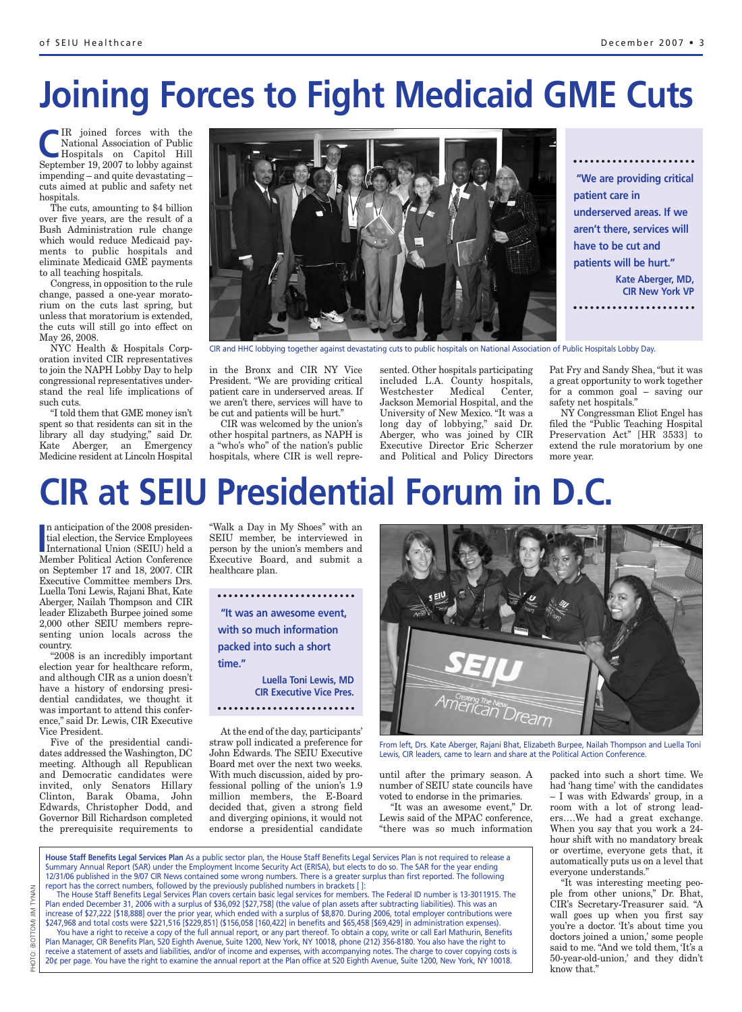# **Joining Forces to Fight Medicaid GME Cuts**

IR joined forces with the<br>
National Association of Public<br>
Hospitals on Capitol Hill<br>
Sostanber 19, 2007 to labby against National Association of Public September 19, 2007 to lobby against impending – and quite devastating – cuts aimed at public and safety net hospitals.

The cuts, amounting to \$4 billion over five years, are the result of a Bush Administration rule change which would reduce Medicaid payments to public hospitals and eliminate Medicaid GME payments to all teaching hospitals.

Congress, in opposition to the rule change, passed a one-year moratorium on the cuts last spring, but unless that moratorium is extended, the cuts will still go into effect on May 26, 2008.

NYC Health & Hospitals Corporation invited CIR representatives to join the NAPH Lobby Day to help congressional representatives understand the real life implications of such cuts.

"I told them that GME money isn't spent so that residents can sit in the library all day studying," said Dr. Kate Aberger, an Emergency Medicine resident at Lincoln Hospital



CIR and HHC lobbying together against devastating cuts to public hospitals on National Association of Public Hospitals Lobby Day.

in the Bronx and CIR NY Vice President. "We are providing critical patient care in underserved areas. If we aren't there, services will have to be cut and patients will be hurt."

CIR was welcomed by the union's other hospital partners, as NAPH is a "who's who" of the nation's public hospitals, where CIR is well repre-

sented. Other hospitals participating included L.A. County hospitals, Westchester Medical Center, Jackson Memorial Hospital, and the University of New Mexico. "It was a long day of lobbying," said Dr. Aberger, who was joined by CIR Executive Director Eric Scherzer and Political and Policy Directors

Pat Fry and Sandy Shea, "but it was a great opportunity to work together for a common goal – saving our safety net hospitals."

NY Congressman Eliot Engel has filed the "Public Teaching Hospital Preservation Act" [HR 3533] to extend the rule moratorium by one more year.

# **CIR at SEIU Presidential Forum in D.C.**

In anticrpation of the 2008 presidential election, the Service Employees<br>
International Union (SEIU) held a<br>
Momber Political Action Conference n anticipation of the 2008 presidential election, the Service Employees Member Political Action Conference on September 17 and 18, 2007. CIR Executive Committee members Drs. Luella Toni Lewis, Rajani Bhat, Kate Aberger, Nailah Thompson and CIR leader Elizabeth Burpee joined some 2,000 other SEIU members representing union locals across the country.

"2008 is an incredibly important election year for healthcare reform, and although CIR as a union doesn't have a history of endorsing presidential candidates, we thought it was important to attend this conference," said Dr. Lewis, CIR Executive Vice President.

Five of the presidential candidates addressed the Washington, DC meeting. Although all Republican and Democratic candidates were invited, only Senators Hillary Clinton, Barak Obama, John Edwards, Christopher Dodd, and Governor Bill Richardson completed the prerequisite requirements to

"Walk a Day in My Shoes" with an SEIU member, be interviewed in person by the union's members and Executive Board, and submit a healthcare plan.

**CIR Executive Vice Pres.** 

At the end of the day, participants' straw poll indicated a preference for John Edwards. The SEIU Executive Board met over the next two weeks. With much discussion, aided by professional polling of the union's 1.9 million members, the E-Board decided that, given a strong field and diverging opinions, it would not endorse a presidential candidate



From left, Drs. Kate Aberger, Rajani Bhat, Elizabeth Burpee, Nailah Thompson and Luella Toni Lewis, CIR leaders, came to learn and share at the Political Action Conference.

until after the primary season. A number of SEIU state councils have voted to endorse in the primaries.

"It was an awesome event," Dr. Lewis said of the MPAC conference, "there was so much information

**House Staff Benefits Legal Services Plan** As a public sector plan, the House Staff Benefits Legal Services Plan is not required to release a – I was with Edwards' group, in a room with a lot of strong leaders….We had a great exchange. When you say that you work a 24 hour shift with no mandatory break or overtime, everyone gets that, it automatically puts us on a level that everyone understands."

"It was interesting meeting people from other unions," Dr. Bhat, CIR's Secretary-Treasurer said. "A wall goes up when you first say you're a doctor. 'It's about time you doctors joined a union,' some people said to me. "And we told them, 'It's a 50-year-old-union,' and they didn't know that."

packed into such a short time. We had 'hang time' with the candidates

Summary Annual Report (SAR) under the Employment Income Security Act (ERISA), but elects to do so. The SAR for the year ending 12/31/06 published in the 9/07 CIR News contained some wrong numbers. There is a greater surplus than first reported. The following report has the correct numbers, followed by the previously published numbers in brackets [ ]: The House Staff Benefits Legal Services Plan covers certain basic legal services for members. The Federal ID number is 13-3011915. The Plan ended December 31, 2006 with a surplus of \$36,092 [\$27,758] (the value of plan assets after subtracting liabilities). This was an

increase of \$27,222 [\$18,888] over the prior year, which ended with a surplus of \$8,870. During 2006, total employer contributions were \$247,968 and total costs were \$221,516 [\$229,851] (\$156,058 [160,422] in benefits and \$65,458 [\$69,429] in administration expenses). You have a right to receive a copy of the full annual report, or any part thereof. To obtain a copy, write or call Earl Mathurin, Benefits Plan Manager, CIR Benefits Plan, 520 Eighth Avenue, Suite 1200, New York, NY 10018, phone (212) 356-8180. You also have the right to receive a statement of assets and liabilities, and/or of income and expenses, with accompanying notes. The charge to cover copying costs is 20¢ per page. You have the right to examine the annual report at the Plan office at 520 Eighth Avenue, Suite 1200, New York, NY 10018.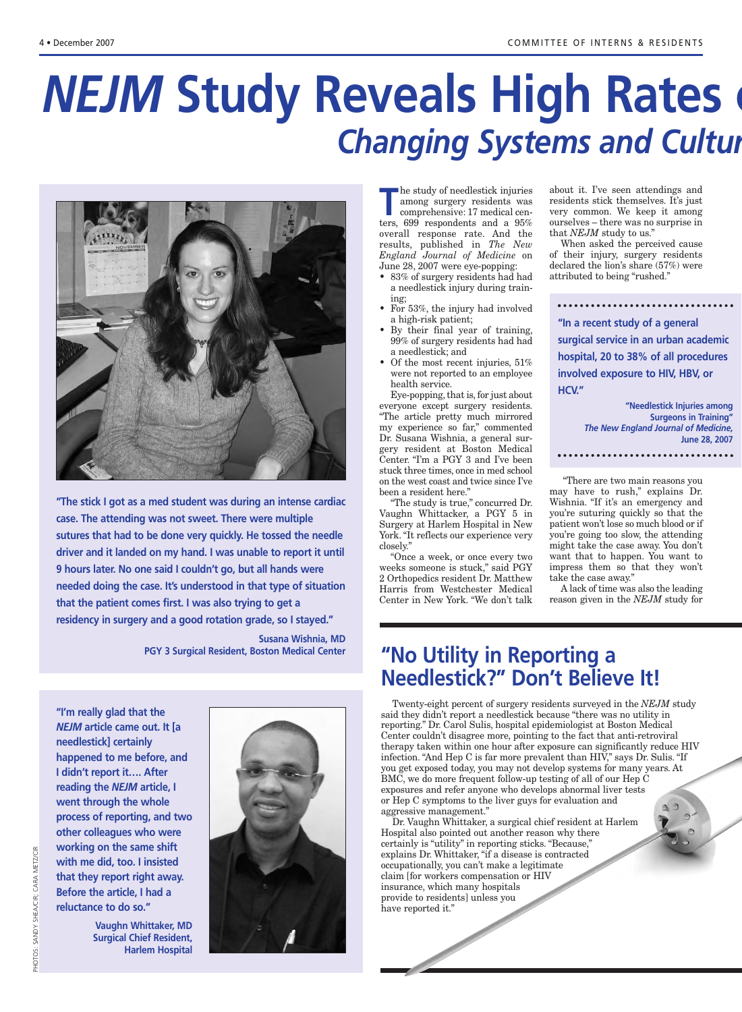# *NEJM* **Study Reveals High Rates of Changing Systems and Culture Changing**



**"The stick I got as a med student was during an intense cardiac case. The attending was not sweet. There were multiple sutures that had to be done very quickly. He tossed the needle driver and it landed on my hand. I was unable to report it until 9 hours later. No one said I couldn't go, but all hands were needed doing the case. It's understood in that type of situation that the patient comes first. I was also trying to get a residency in surgery and a good rotation grade, so I stayed."**

> **Susana Wishnia, MD PGY 3 Surgical Resident, Boston Medical Center**

**"I'm really glad that the** *NEJM* **article came out. It [a needlestick] certainly happened to me before, and I didn't report it…. After reading the** *NEJM* **article, I went through the whole process of reporting, and two other colleagues who were working on the same shift with me did, too. I insisted that they report right away. Before the article, I had a reluctance to do so."**

> **Vaughn Whittaker, MD Surgical Chief Resident,**

> > **Harlem Hospital**

PHOTOS: SANDY SHEA/CIR; CARA METZ/CIR PHOTOS: SANDY SHEA/CIR; CARA METZ/CIR



**The study of needlestick injuries<br>
among surgery residents was<br>
comprehensive: 17 medical cen-<br>
term 600 respondents and a 050** among surgery residents was ters, 699 respondents and a 95% overall response rate. And the results, published in *The New England Journal of Medicine* on June 28, 2007 were eye-popping:

- 83% of surgery residents had had a needlestick injury during training;
- For 53%, the injury had involved a high-risk patient;
- By their final year of training, 99% of surgery residents had had a needlestick; and
- Of the most recent injuries, 51% were not reported to an employee health service.

Eye-popping, that is, for just about everyone except surgery residents. "The article pretty much mirrored my experience so far," commented Dr. Susana Wishnia, a general surgery resident at Boston Medical Center. "I'm a PGY 3 and I've been stuck three times, once in med school on the west coast and twice since I've been a resident here."

"The study is true," concurred Dr. Vaughn Whittacker, a PGY 5 in Surgery at Harlem Hospital in New York. "It reflects our experience very closely."

"Once a week, or once every two weeks someone is stuck," said PGY 2 Orthopedics resident Dr. Matthew Harris from Westchester Medical Center in New York. "We don't talk about it. I've seen attendings and residents stick themselves. It's just very common. We keep it among ourselves – there was no surprise in that *NEJM* study to us."

When asked the perceived cause of their injury, surgery residents declared the lion's share (57%) were attributed to being "rushed."

**"In a recent study of a general surgical service in an urban academic hospital, 20 to 38% of all procedures involved exposure to HIV, HBV, or HCV."**

**"Needlestick Injuries among Surgeons in Training"** *The New England Journal of Medicine,*  **June 28, 2007**

"There are two main reasons you may have to rush," explains Dr. Wishnia. "If it's an emergency and you're suturing quickly so that the patient won't lose so much blood or if you're going too slow, the attending might take the case away. You don't want that to happen. You want to impress them so that they won't take the case away."

A lack of time was also the leading reason given in the *NEJM* study for

## **"No Utility in Reporting a Needlestick?" Don't Believe It!**

Twenty-eight percent of surgery residents surveyed in the *NEJM* study said they didn't report a needlestick because "there was no utility in reporting." Dr. Carol Sulis, hospital epidemiologist at Boston Medical Center couldn't disagree more, pointing to the fact that anti-retroviral therapy taken within one hour after exposure can significantly reduce HIV infection. "And Hep C is far more prevalent than HIV," says Dr. Sulis. "If you get exposed today, you may not develop systems for many years. At BMC, we do more frequent follow-up testing of all of our Hep C exposures and refer anyone who develops abnormal liver tests or Hep C symptoms to the liver guys for evaluation and aggressive management."

Dr. Vaughn Whittaker, a surgical chief resident at Harlem Hospital also pointed out another reason why there certainly is "utility" in reporting sticks. "Because," explains Dr. Whittaker, "if a disease is contracted occupationally, you can't make a legitimate claim [for workers compensation or HIV insurance, which many hospitals provide to residents] unless you have reported it."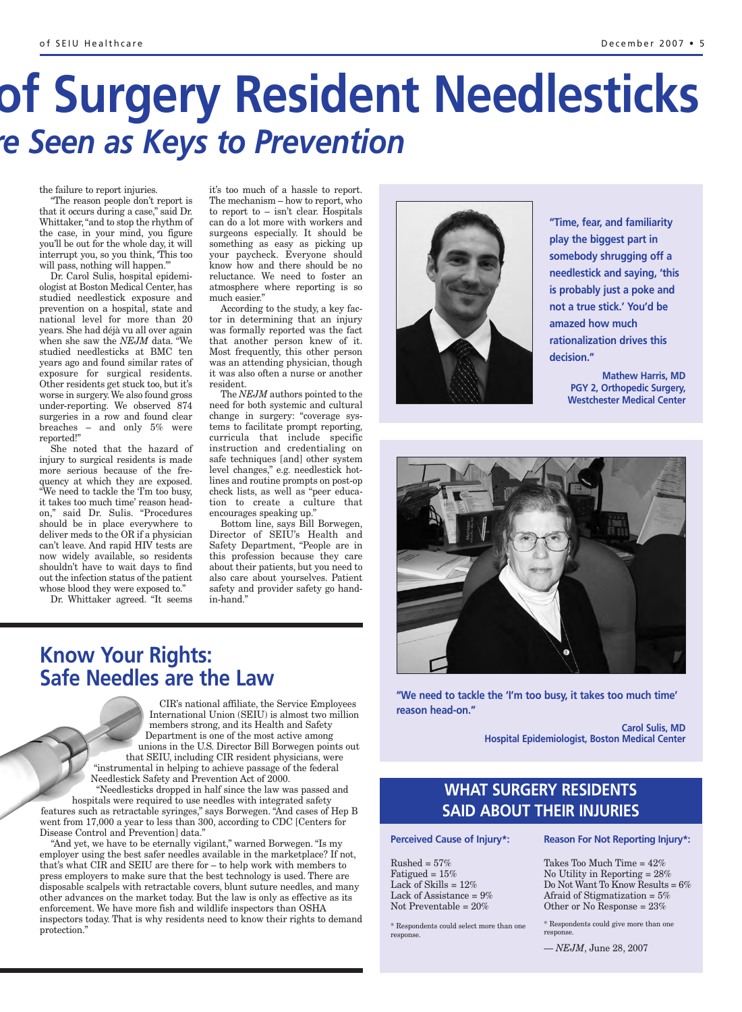# **of Surgery Resident Needlesticks** *re Seen as Keys to Prevention*

the failure to report injuries.

"The reason people don't report is that it occurs during a case," said Dr. Whittaker, "and to stop the rhythm of the case, in your mind, you figure you'll be out for the whole day, it will interrupt you, so you think, 'This too will pass, nothing will happen.'"

Dr. Carol Sulis, hospital epidemiologist at Boston Medical Center, has studied needlestick exposure and prevention on a hospital, state and national level for more than 20 years. She had déjà vu all over again when she saw the *NEJM* data. "We studied needlesticks at BMC ten years ago and found similar rates of exposure for surgical residents. Other residents get stuck too, but it's worse in surgery.We also found gross under-reporting. We observed 874 surgeries in a row and found clear breaches – and only 5% were reported!"

She noted that the hazard of injury to surgical residents is made more serious because of the frequency at which they are exposed. "We need to tackle the 'I'm too busy, it takes too much time' reason headon," said Dr. Sulis. "Procedures should be in place everywhere to deliver meds to the OR if a physician can't leave. And rapid HIV tests are now widely available, so residents shouldn't have to wait days to find out the infection status of the patient whose blood they were exposed to."

Dr. Whittaker agreed. "It seems

it's too much of a hassle to report. The mechanism – how to report, who to report to – isn't clear. Hospitals can do a lot more with workers and surgeons especially. It should be something as easy as picking up your paycheck. Everyone should know how and there should be no reluctance. We need to foster an atmosphere where reporting is so much easier."

According to the study, a key factor in determining that an injury was formally reported was the fact that another person knew of it. Most frequently, this other person was an attending physician, though it was also often a nurse or another resident.

The *NEJM* authors pointed to the need for both systemic and cultural change in surgery: "coverage systems to facilitate prompt reporting, curricula that include specific instruction and credentialing on safe techniques [and] other system level changes," e.g. needlestick hotlines and routine prompts on post-op check lists, as well as "peer education to create a culture that encourages speaking up."

Bottom line, says Bill Borwegen, Director of SEIU's Health and Safety Department, "People are in this profession because they care about their patients, but you need to also care about yourselves. Patient safety and provider safety go handin-hand."

### **Know Your Rights: Safe Needles are the Law**

CIR's national affiliate, the Service Employees International Union (SEIU) is almost two million members strong, and its Health and Safety Department is one of the most active among unions in the U.S. Director Bill Borwegen points out that SEIU, including CIR resident physicians, were "instrumental in helping to achieve passage of the federal Needlestick Safety and Prevention Act of 2000.

"Needlesticks dropped in half since the law was passed and hospitals were required to use needles with integrated safety features such as retractable syringes," says Borwegen. "And cases of Hep B went from 17,000 a year to less than 300, according to CDC [Centers for Disease Control and Prevention] data."

"And yet, we have to be eternally vigilant," warned Borwegen. "Is my employer using the best safer needles available in the marketplace? If not, that's what CIR and SEIU are there for – to help work with members to press employers to make sure that the best technology is used. There are disposable scalpels with retractable covers, blunt suture needles, and many other advances on the market today. But the law is only as effective as its enforcement. We have more fish and wildlife inspectors than OSHA inspectors today. That is why residents need to know their rights to demand protection."



**"Time, fear, and familiarity play the biggest part in somebody shrugging off a needlestick and saying, 'this is probably just a poke and not a true stick.' You'd be amazed how much rationalization drives this decision."**

> **Mathew Harris, MD PGY 2, Orthopedic Surgery, Westchester Medical Center**



**"We need to tackle the 'I'm too busy, it takes too much time' reason head-on."**

> **Carol Sulis, MD Hospital Epidemiologist, Boston Medical Center**

### **WHAT SURGERY RESIDENTS SAID ABOUT THEIR INJURIES**

**Perceived Cause of Injury\*:**

 $Russhed = 57%$ Fatigued =  $15%$ Lack of Skills = 12% Lack of Assistance =  $9\%$ Not Preventable = 20%

\* Respondents could select more than one response.

**Reason For Not Reporting Injury\*:**

Takes Too Much Time = 42% No Utility in Reporting = 28% Do Not Want To Know Results = 6% Afraid of Stigmatization =  $5\%$ Other or No Response = 23%

\* Respondents could give more than one response.

— *NEJM*, June 28, 2007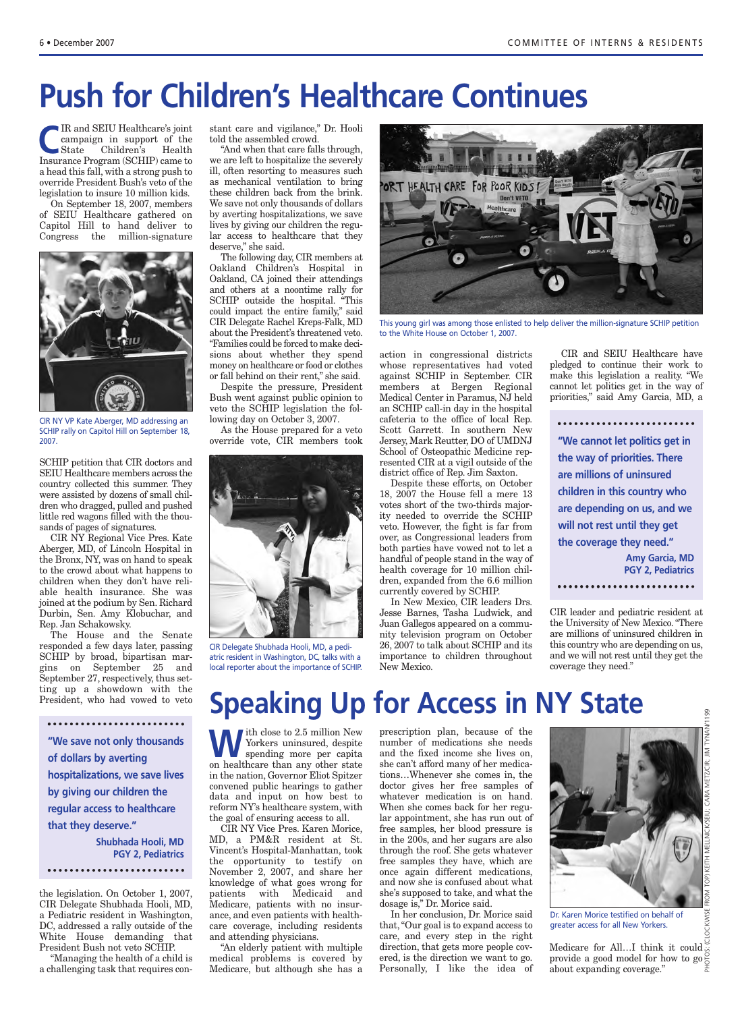# **Push for Children's Healthcare Continues**

**C**IR and SEIU Healthcare's joint<br>
campaign in support of the<br>
State Children's Health<br>
Incursose Program (SCHIP) come to campaign in support of the State Children's Health Insurance Program (SCHIP) came to a head this fall, with a strong push to override President Bush's veto of the legislation to insure 10 million kids.

On September 18, 2007, members of SEIU Healthcare gathered on Capitol Hill to hand deliver to Congress the million-signature



CIR NY VP Kate Aberger, MD addressing an SCHIP rally on Capitol Hill on September 18, 2007.

SCHIP petition that CIR doctors and SEIU Healthcare members across the country collected this summer. They were assisted by dozens of small children who dragged, pulled and pushed little red wagons filled with the thousands of pages of signatures.

CIR NY Regional Vice Pres. Kate Aberger, MD, of Lincoln Hospital in the Bronx, NY, was on hand to speak to the crowd about what happens to children when they don't have reliable health insurance. She was joined at the podium by Sen. Richard Durbin, Sen. Amy Klobuchar, and Rep. Jan Schakowsky.

The House and the Senate responded a few days later, passing SCHIP by broad, bipartisan margins on September 25 and September 27, respectively, thus setting up a showdown with the President, who had vowed to veto

**"We save not only thousands of dollars by averting hospitalizations, we save lives by giving our children the regular access to healthcare that they deserve." Shubhada Hooli, MD PGY 2, Pediatrics** 

the legislation. On October 1, 2007, CIR Delegate Shubhada Hooli, MD, a Pediatric resident in Washington, DC, addressed a rally outside of the White House demanding that President Bush not veto SCHIP.

"Managing the health of a child is a challenging task that requires constant care and vigilance," Dr. Hooli told the assembled crowd.

"And when that care falls through, we are left to hospitalize the severely ill, often resorting to measures such as mechanical ventilation to bring these children back from the brink. We save not only thousands of dollars by averting hospitalizations, we save lives by giving our children the regular access to healthcare that they deserve," she said.

The following day, CIR members at Oakland Children's Hospital in Oakland, CA joined their attendings and others at a noontime rally for SCHIP outside the hospital. "This could impact the entire family," said CIR Delegate Rachel Kreps-Falk, MD about the President's threatened veto. "Families could be forced to make decisions about whether they spend money on healthcare or food or clothes or fall behind on their rent," she said.

Despite the pressure, President Bush went against public opinion to veto the SCHIP legislation the following day on October 3, 2007.

As the House prepared for a veto override vote, CIR members took



CIR Delegate Shubhada Hooli, MD, a pediatric resident in Washington, DC, talks with a local reporter about the importance of SCHIP.



This young girl was among those enlisted to help deliver the million-signature SCHIP petition to the White House on October 1, 2007.

action in congressional districts whose representatives had voted against SCHIP in September. CIR members at Bergen Regional Medical Center in Paramus, NJ held an SCHIP call-in day in the hospital cafeteria to the office of local Rep. Scott Garrett. In southern New Jersey, Mark Reutter, DO of UMDNJ School of Osteopathic Medicine represented CIR at a vigil outside of the district office of Rep. Jim Saxton.

Despite these efforts, on October 18, 2007 the House fell a mere 13 votes short of the two-thirds majority needed to override the SCHIP veto. However, the fight is far from over, as Congressional leaders from both parties have vowed not to let a handful of people stand in the way of health coverage for 10 million children, expanded from the 6.6 million currently covered by SCHIP.

In New Mexico, CIR leaders Drs. Jesse Barnes, Tasha Ludwick, and Juan Gallegos appeared on a community television program on October 26, 2007 to talk about SCHIP and its importance to children throughout New Mexico.

CIR and SEIU Healthcare have pledged to continue their work to make this legislation a reality. "We cannot let politics get in the way of priorities," said Amy Garcia, MD, a

**"We cannot let politics get in the way of priorities. There are millions of uninsured children in this country who are depending on us, and we will not rest until they get the coverage they need." Amy Garcia, MD PGY 2, Pediatrics** 

CIR leader and pediatric resident at the University of New Mexico. "There are millions of uninsured children in this country who are depending on us, and we will not rest until they get the coverage they need."

## **Speaking Up for Access in NY State**

W ith close to 2.5 million New<br>
Spending more per capita Yorkers uninsured, despite on healthcare than any other state in the nation, Governor Eliot Spitzer convened public hearings to gather data and input on how best to reform NY's healthcare system, with the goal of ensuring access to all.

CIR NY Vice Pres. Karen Morice, MD, a PM&R resident at St. Vincent's Hospital-Manhattan, took the opportunity to testify on November 2, 2007, and share her knowledge of what goes wrong for patients with Medicaid and Medicare, patients with no insurance, and even patients with healthcare coverage, including residents and attending physicians.

"An elderly patient with multiple medical problems is covered by Medicare, but although she has a

prescription plan, because of the number of medications she needs and the fixed income she lives on, she can't afford many of her medications…Whenever she comes in, the doctor gives her free samples of whatever medication is on hand. When she comes back for her regular appointment, she has run out of free samples, her blood pressure is in the 200s, and her sugars are also through the roof. She gets whatever free samples they have, which are once again different medications, and now she is confused about what she's supposed to take, and what the dosage is," Dr. Morice said.

In her conclusion, Dr. Morice said that, "Our goal is to expand access to care, and every step in the right direction, that gets more people covered, is the direction we want to go. Personally, I like the idea of



Dr. Karen Morice testified on behalf of greater access for all New Yorkers.

Medicare for All...I think it could  $\check{\check{\mathfrak{g}}}$ provide a good model for how to  $\log \frac{1}{6}$ about expanding coverage."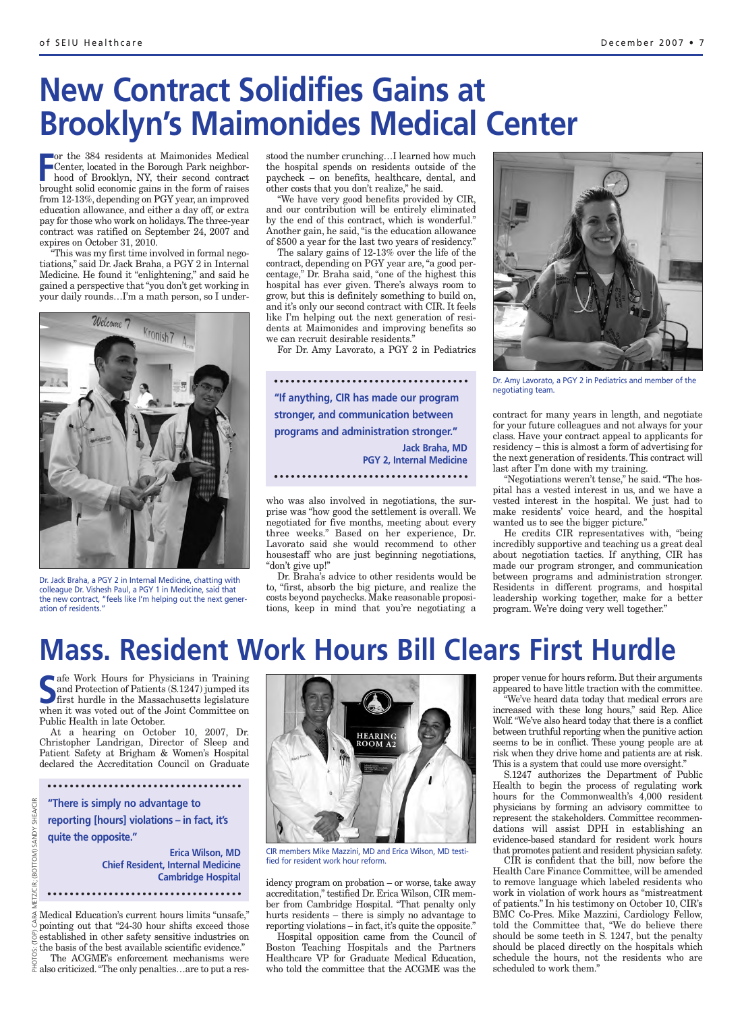## **New Contract Solidifies Gains at Brooklyn's Maimonides Medical Center**

 $\Gamma$ or the 384 residents at Maimonides Medical Center, located in the Borough Park neighborhood of Brooklyn, NY, their second contract brought solid economic gains in the form of raises from 12-13%, depending on PGY year, an improved education allowance, and either a day off, or extra pay for those who work on holidays.The three-year contract was ratified on September 24, 2007 and expires on October 31, 2010.

"This was my first time involved in formal negotiations," said Dr. Jack Braha, a PGY 2 in Internal Medicine. He found it "enlightening," and said he gained a perspective that "you don't get working in your daily rounds…I'm a math person, so I under-



Dr. Jack Braha, a PGY 2 in Internal Medicine, chatting with colleague Dr. Vishesh Paul, a PGY 1 in Medicine, said that the new contract, "feels like I'm helping out the next generation of residents."

stood the number crunching…I learned how much the hospital spends on residents outside of the paycheck – on benefits, healthcare, dental, and other costs that you don't realize," he said.

"We have very good benefits provided by CIR, and our contribution will be entirely eliminated by the end of this contract, which is wonderful." Another gain, he said, "is the education allowance of \$500 a year for the last two years of residency."

The salary gains of 12-13% over the life of the contract, depending on PGY year are, "a good percentage," Dr. Braha said, "one of the highest this hospital has ever given. There's always room to grow, but this is definitely something to build on, and it's only our second contract with CIR. It feels like I'm helping out the next generation of residents at Maimonides and improving benefits so we can recruit desirable residents."

For Dr. Amy Lavorato, a PGY 2 in Pediatrics

**"If anything, CIR has made our program stronger, and communication between programs and administration stronger." Jack Braha, MD PGY 2, Internal Medicine** 

who was also involved in negotiations, the surprise was "how good the settlement is overall. We negotiated for five months, meeting about every three weeks." Based on her experience, Dr. Lavorato said she would recommend to other housestaff who are just beginning negotiations, "don't give up!"

Dr. Braha's advice to other residents would be to, "first, absorb the big picture, and realize the costs beyond paychecks. Make reasonable propositions, keep in mind that you're negotiating a



Dr. Amy Lavorato, a PGY 2 in Pediatrics and member of the negotiating team.

contract for many years in length, and negotiate for your future colleagues and not always for your class. Have your contract appeal to applicants for residency – this is almost a form of advertising for the next generation of residents. This contract will last after I'm done with my training.

"Negotiations weren't tense," he said. "The hospital has a vested interest in us, and we have a vested interest in the hospital. We just had to make residents' voice heard, and the hospital wanted us to see the bigger picture."

He credits CIR representatives with, "being incredibly supportive and teaching us a great deal about negotiation tactics. If anything, CIR has made our program stronger, and communication between programs and administration stronger. Residents in different programs, and hospital leadership working together, make for a better program. We're doing very well together."

## **Mass. Resident Work Hours Bill Clears First Hurdle**

**S** afe Work Hours for Physicians in Training<br>
and Protection of Patients (S.1247) jumped its<br>
first hurdle in the Massachusetts legislature<br>
when it was veted out of the Joint Committee on and Protection of Patients (S.1247) jumped its first hurdle in the Massachusetts legislature when it was voted out of the Joint Committee on Public Health in late October.

At a hearing on October 10, 2007, Dr. Christopher Landrigan, Director of Sleep and Patient Safety at Brigham & Women's Hospital declared the Accreditation Council on Graduate

**"There is simply no advantage to**

**reporting [hours] violations – in fact, it's quite the opposite."**

> **Erica Wilson, MD Chief Resident, Internal Medicine Cambridge Hospital**

Medical Education's current hours limits "unsafe," pointing out that "24-30 hour shifts exceed those  $\frac{1}{2}$  established in other safety sensitive industries on the basis of the best available scientific evidence." The ACGME's enforcement mechanisms were  $\frac{1}{2}$  also criticized. "The only penalties... are to put a res-



CIR members Mike Mazzini, MD and Erica Wilson, MD testified for resident work hour reform.

idency program on probation – or worse, take away accreditation," testified Dr. Erica Wilson, CIR member from Cambridge Hospital. "That penalty only hurts residents – there is simply no advantage to reporting violations – in fact, it's quite the opposite."

Hospital opposition came from the Council of Boston Teaching Hospitals and the Partners Healthcare VP for Graduate Medical Education, who told the committee that the ACGME was the proper venue for hours reform. But their arguments appeared to have little traction with the committee.

"We've heard data today that medical errors are increased with these long hours," said Rep. Alice Wolf. "We've also heard today that there is a conflict between truthful reporting when the punitive action seems to be in conflict. These young people are at risk when they drive home and patients are at risk. This is a system that could use more oversight."

S.1247 authorizes the Department of Public Health to begin the process of regulating work hours for the Commonwealth's 4,000 resident physicians by forming an advisory committee to represent the stakeholders. Committee recommendations will assist DPH in establishing an evidence-based standard for resident work hours that promotes patient and resident physician safety.

CIR is confident that the bill, now before the Health Care Finance Committee, will be amended to remove language which labeled residents who work in violation of work hours as "mistreatment of patients." In his testimony on October 10, CIR's BMC Co-Pres. Mike Mazzini, Cardiology Fellow, told the Committee that, "We do believe there should be some teeth in S. 1247, but the penalty should be placed directly on the hospitals which schedule the hours, not the residents who are scheduled to work them."